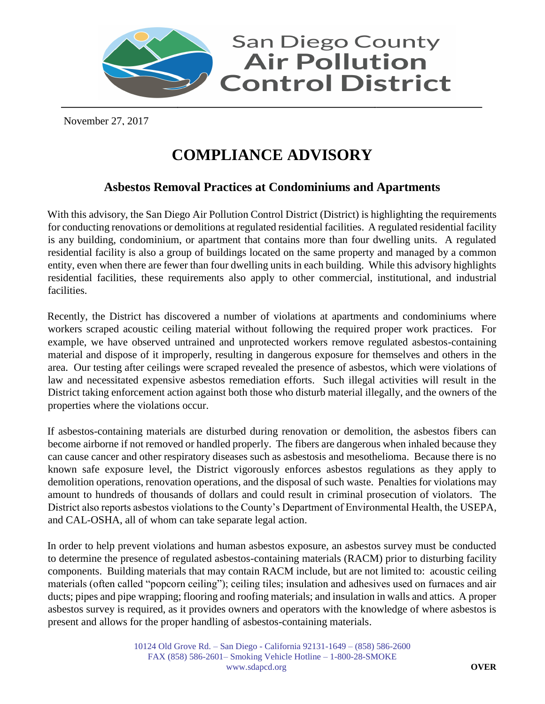

November 27, 2017

## **COMPLIANCE ADVISORY**

## **Asbestos Removal Practices at Condominiums and Apartments**

With this advisory, the San Diego Air Pollution Control District (District) is highlighting the requirements for conducting renovations or demolitions at regulated residential facilities. A regulated residential facility is any building, condominium, or apartment that contains more than four dwelling units. A regulated residential facility is also a group of buildings located on the same property and managed by a common entity, even when there are fewer than four dwelling units in each building. While this advisory highlights residential facilities, these requirements also apply to other commercial, institutional, and industrial facilities.

Recently, the District has discovered a number of violations at apartments and condominiums where workers scraped acoustic ceiling material without following the required proper work practices. For example, we have observed untrained and unprotected workers remove regulated asbestos-containing material and dispose of it improperly, resulting in dangerous exposure for themselves and others in the area. Our testing after ceilings were scraped revealed the presence of asbestos, which were violations of law and necessitated expensive asbestos remediation efforts. Such illegal activities will result in the District taking enforcement action against both those who disturb material illegally, and the owners of the properties where the violations occur.

If asbestos-containing materials are disturbed during renovation or demolition, the asbestos fibers can become airborne if not removed or handled properly. The fibers are dangerous when inhaled because they can cause cancer and other respiratory diseases such as asbestosis and mesothelioma. Because there is no known safe exposure level, the District vigorously enforces asbestos regulations as they apply to demolition operations, renovation operations, and the disposal of such waste. Penalties for violations may amount to hundreds of thousands of dollars and could result in criminal prosecution of violators. The District also reports asbestos violations to the County's Department of Environmental Health, the USEPA, and CAL-OSHA, all of whom can take separate legal action.

In order to help prevent violations and human asbestos exposure, an asbestos survey must be conducted to determine the presence of regulated asbestos-containing materials (RACM) prior to disturbing facility components. Building materials that may contain RACM include, but are not limited to: acoustic ceiling materials (often called "popcorn ceiling"); ceiling tiles; insulation and adhesives used on furnaces and air ducts; pipes and pipe wrapping; flooring and roofing materials; and insulation in walls and attics. A proper asbestos survey is required, as it provides owners and operators with the knowledge of where asbestos is present and allows for the proper handling of asbestos-containing materials.